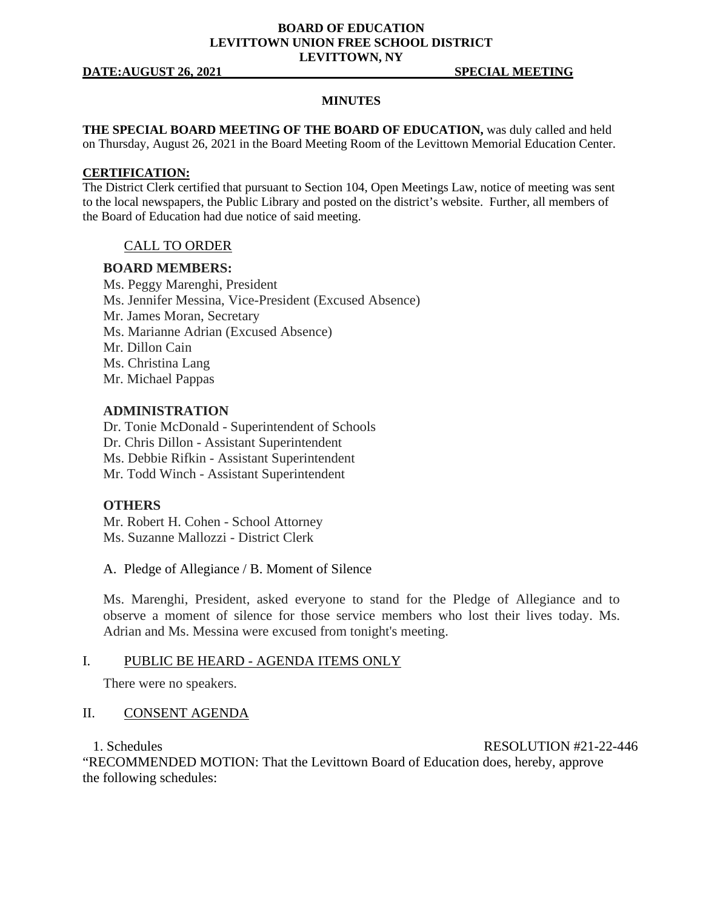# **BOARD OF EDUCATION LEVITTOWN UNION FREE SCHOOL DISTRICT LEVITTOWN, NY**

#### **DATE:AUGUST 26, 2021 SPECIAL MEETING**

### **MINUTES**

**THE SPECIAL BOARD MEETING OF THE BOARD OF EDUCATION,** was duly called and held on Thursday, August 26, 2021 in the Board Meeting Room of the Levittown Memorial Education Center.

#### **CERTIFICATION:**

The District Clerk certified that pursuant to Section 104, Open Meetings Law, notice of meeting was sent to the local newspapers, the Public Library and posted on the district's website. Further, all members of the Board of Education had due notice of said meeting.

# CALL TO ORDER

#### **BOARD MEMBERS:**

Ms. Peggy Marenghi, President Ms. Jennifer Messina, Vice-President (Excused Absence) Mr. James Moran, Secretary Ms. Marianne Adrian (Excused Absence) Mr. Dillon Cain Ms. Christina Lang Mr. Michael Pappas

## **ADMINISTRATION**

Dr. Tonie McDonald - Superintendent of Schools Dr. Chris Dillon - Assistant Superintendent Ms. Debbie Rifkin - Assistant Superintendent Mr. Todd Winch - Assistant Superintendent

## **OTHERS**

Mr. Robert H. Cohen - School Attorney Ms. Suzanne Mallozzi - District Clerk

A. Pledge of Allegiance / B. Moment of Silence

Ms. Marenghi, President, asked everyone to stand for the Pledge of Allegiance and to observe a moment of silence for those service members who lost their lives today. Ms. Adrian and Ms. Messina were excused from tonight's meeting.

#### I. PUBLIC BE HEARD - AGENDA ITEMS ONLY

There were no speakers.

# II. CONSENT AGENDA

1. Schedules RESOLUTION #21-22-446

"RECOMMENDED MOTION: That the Levittown Board of Education does, hereby, approve the following schedules: